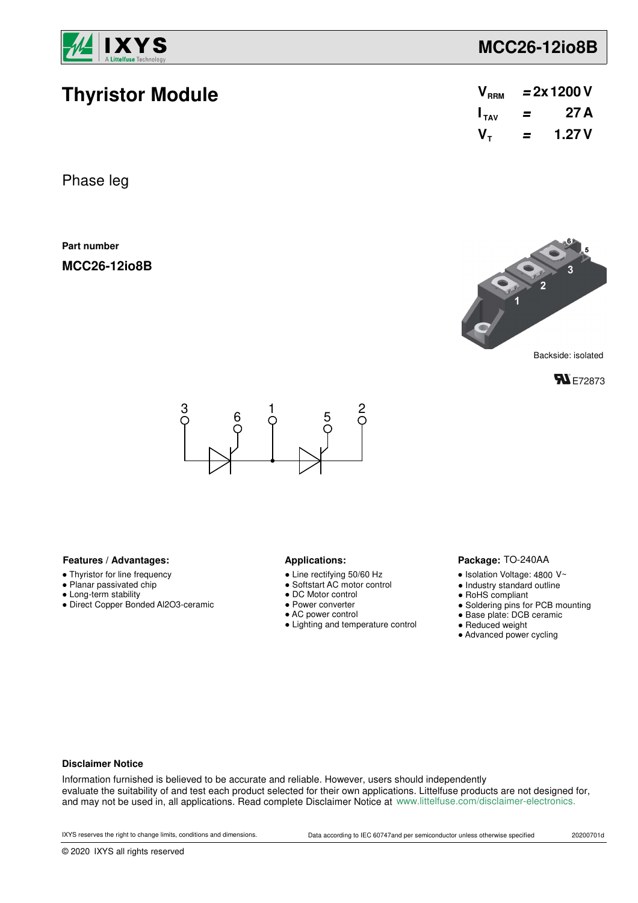

**Thyristor Module**

# **MCC26-12io8B**

| V <sub>RRM</sub> | $= 2x 1200 V$ |       |  |
|------------------|---------------|-------|--|
| $I_{\tau_{AV}}$  | =             | 27 A  |  |
| V <sub>τ</sub>   | =             | 1.27V |  |

Phase leg

**Part number**

**MCC26-12io8B**



**FL** E72873



### Features / Advantages: **All Applications: Applications:**

- Thyristor for line frequency
- Planar passivated chip
- Long-term stability
- Direct Copper Bonded Al2O3-ceramic

- Line rectifying 50/60 Hz
- Softstart AC motor control
- DC Motor control
- Power converter
- AC power control
- Lighting and temperature control

#### Package: TO-240AA

- $\bullet$  Isolation Voltage: 4800 V~
- Industry standard outline
- RoHS compliant
- Soldering pins for PCB mounting
- Base plate: DCB ceramic
- Reduced weight
- Advanced power cycling

#### **Disclaimer Notice**

Information furnished is believed to be accurate and reliable. However, users should independently evaluate the suitability of and test each product selected for their own applications. Littelfuse products are not designed for, and may not be used in, all applications. Read complete Disclaimer Notice at www.littelfuse.com/disclaimer-electronics.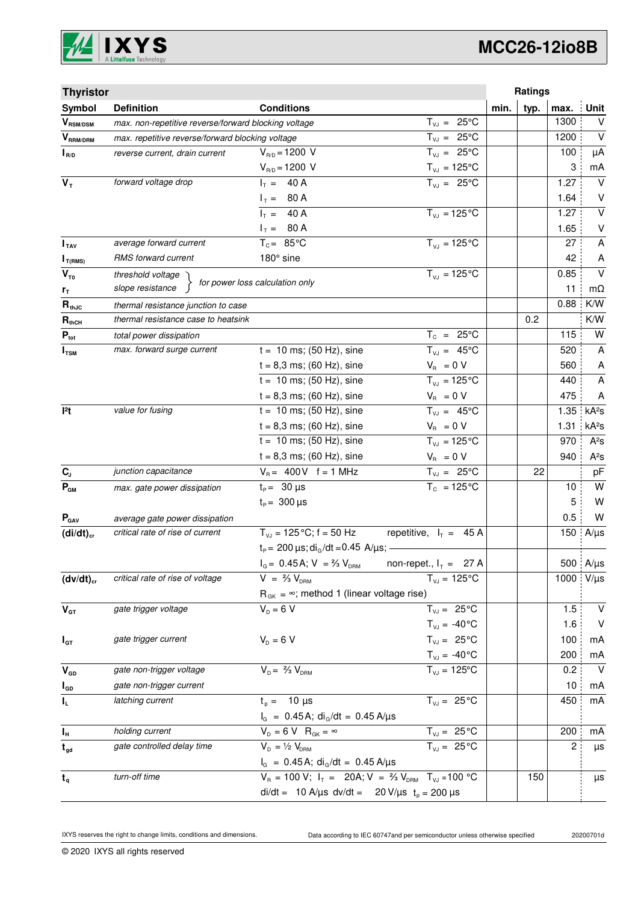

# **MCC26-12io8B**

| <b>Thyristor</b>          |                                                      |                                                                            |                                | Ratings      |      |                           |
|---------------------------|------------------------------------------------------|----------------------------------------------------------------------------|--------------------------------|--------------|------|---------------------------|
| Symbol                    | <b>Definition</b>                                    | <b>Conditions</b>                                                          |                                | typ.<br>min. | max. | <b>Unit</b>               |
| $\bm{V}_{\text{RSM/DSM}}$ | max. non-repetitive reverse/forward blocking voltage |                                                                            | $T_{VJ} = 25^{\circ}C$         |              | 1300 | $\vee$                    |
| $\bm{V}_{\text{RRM/DRM}}$ | max. repetitive reverse/forward blocking voltage     |                                                                            | $\overline{T}_{vJ}$ = 25°C     |              | 1200 | $\vee$                    |
| $I_{R/D}$                 | reverse current, drain current                       | $V_{R/D} = 1200 V$                                                         | $T_{VJ} = 25^{\circ}C$         |              | 100  | μA                        |
|                           |                                                      | $V_{R/D} = 1200 V$                                                         | $T_{\nu J} = 125$ °C           |              | 3    | mA                        |
| $V_T$                     | forward voltage drop                                 | $I_T = 40 A$                                                               | $T_{V,1} = 25^{\circ}C$        |              | 1.27 | $\vee$                    |
|                           |                                                      | $I_T = 80 A$                                                               |                                |              | 1.64 | V                         |
|                           |                                                      | $I_T = 40 A$                                                               | $T_{VJ} = 125$ °C              |              | 1.27 | $\overline{\mathsf{v}}$   |
|                           |                                                      | $I_T = 80 A$                                                               |                                |              | 1.65 | $\sf V$                   |
| I <sub>TAV</sub>          | average forward current                              | $T_c = 85^{\circ}$ C                                                       | $T_{VJ} = 125^{\circ}C$        |              | 27   | $\boldsymbol{\mathsf{A}}$ |
| $I_{T(RMS)}$              | RMS forward current                                  | 180° sine                                                                  |                                |              | 42   | A                         |
| $V_{\tau_0}$              | threshold voltage                                    | for power loss calculation only                                            | $T_{VJ} = 125$ °C              |              | 0.85 | $\vee$                    |
| r <sub>T</sub>            | slope resistance                                     |                                                                            |                                |              | 11   | $m\Omega$                 |
| $R_{thJC}$                | thermal resistance junction to case                  |                                                                            |                                |              | 0.88 | K/W                       |
| $R_{thCH}$                | thermal resistance case to heatsink                  |                                                                            |                                | 0.2          |      | K/W                       |
| $P_{\text{tot}}$          | total power dissipation                              |                                                                            | $T_c = 25^{\circ}C$            |              | 115  | W                         |
| $I_{\text{TSM}}$          | max. forward surge current                           | $t = 10$ ms; (50 Hz), sine                                                 | $T_{VJ} = 45^{\circ}C$         |              | 520  | A                         |
|                           |                                                      | $t = 8,3$ ms; (60 Hz), sine                                                | $V_R = 0 V$                    |              | 560  | A                         |
|                           |                                                      | $t = 10$ ms; (50 Hz), sine                                                 | $T_{VJ} = 125^{\circ}C$        |              | 440  | $\boldsymbol{\mathsf{A}}$ |
|                           |                                                      | $t = 8,3$ ms; (60 Hz), sine                                                | $V_{B} = 0 V$                  |              | 475  | Α                         |
| 12t                       | value for fusing                                     | $t = 10$ ms; (50 Hz), sine                                                 | $T_{V,1} = 45^{\circ}C$        |              | 1.35 | kA <sup>2</sup> s         |
|                           |                                                      | $t = 8,3$ ms; (60 Hz), sine                                                | $V_R = 0 V$                    |              | 1.31 | kA <sup>2</sup> S         |
|                           |                                                      | $t = 10$ ms; (50 Hz), sine                                                 | $T_{VJ} = 125^{\circ}C$        |              | 970  | $A^2S$                    |
|                           |                                                      | $t = 8,3$ ms; (60 Hz), sine                                                | $V_{\rm R} = 0 V$              |              | 940  | $A^2S$                    |
| $C_{J}$                   | junction capacitance                                 | $V_R = 400V$ f = 1 MHz                                                     | $T_{VJ} = 25^{\circ}C$         | 22           |      | pF                        |
| $P_{GM}$                  | max. gate power dissipation                          | $t_{\rm p} = 30 \,\mu s$                                                   | $T_c = 125^{\circ}C$           |              | 10   | W                         |
|                           |                                                      | $t_{\rm P} = 300 \,\mu s$                                                  |                                |              | 5    | W                         |
| $P_{\text{GAV}}$          | average gate power dissipation                       |                                                                            |                                |              | 0.5  | W                         |
| $(di/dt)_{cr}$            | critical rate of rise of current                     | $T_{V,1} = 125 \degree C$ ; f = 50 Hz                                      | repetitive, $I_T = 45 A$       |              | 150  | $A/\mu s$                 |
|                           |                                                      | $t_P$ = 200 $\mu$ s; di <sub>G</sub> /dt = 0.45 A/ $\mu$ s; -              |                                |              |      |                           |
|                           |                                                      | $I_G = 0.45$ A; $V = \frac{2}{3} V_{DRM}$                                  | non-repet., $I_T = 27$ A       |              |      | 500 A/µs                  |
| $(dv/dt)_{cr}$            | critical rate of rise of voltage                     | $V = \frac{2}{3} V_{DBM}$                                                  | $T_{VJ} = 125$ °C              |              | 1000 | $V/\mu s$                 |
|                           |                                                      | $R_{gK} = \infty$ ; method 1 (linear voltage rise)                         |                                |              |      |                           |
| $\mathbf{V}_{\text{GT}}$  | gate trigger voltage                                 | $V_{\rm p} = 6 V$                                                          | $T_{VJ} = 25^{\circ}C$         |              | 1.5  | $\vee$                    |
|                           |                                                      |                                                                            | $T_{\text{VJ}} = -40^{\circ}C$ |              | 1.6  | $\vee$                    |
| $I_{GT}$                  | gate trigger current                                 | $V_{D} = 6 V$                                                              | $T_{VJ} = 25^{\circ}C$         |              | 100  | mA                        |
|                           |                                                      |                                                                            | $T_{\text{VJ}} = -40^{\circ}C$ |              | 200  | mA                        |
| $V_{GD}$                  | gate non-trigger voltage                             | $V_{D} = \frac{2}{3} V_{DBM}$                                              | $\overline{T}_{vJ}$ = 125°C    |              | 0.2  | $\vee$                    |
| $I_{GD}$                  | gate non-trigger current                             |                                                                            |                                |              | 10   | mA                        |
| IL.                       | latching current                                     | $t_{p} = 10 \mu s$                                                         | $T_{VJ} = 25 °C$               |              | 450  | mA                        |
|                           |                                                      | $I_G = 0.45 A$ ; di <sub>g</sub> /dt = 0.45 A/µs                           |                                |              |      |                           |
| $I_{\rm H}$               | holding current                                      | $V_{D} = 6 V R_{GK} = \infty$                                              | $T_{VJ} = 25 \overline{°C}$    |              | 200  | mA                        |
| $t_{gd}$                  | gate controlled delay time                           | $V_{D} = \frac{1}{2} V_{DBM}$                                              | $T_{\text{VJ}} = 25^{\circ}C$  |              | 2    | μs                        |
|                           |                                                      | $I_G = 0.45A$ ; di <sub>G</sub> /dt = 0.45 A/µs                            |                                |              |      |                           |
| $t_{q}$                   | turn-off time                                        | $V_R = 100 V; I_T = 20A; V = \frac{2}{3} V_{DRM}$ T <sub>VJ</sub> = 100 °C |                                | 150          |      | μs                        |
|                           |                                                      | di/dt = 10 A/µs dv/dt = 20 V/µs $t_p = 200 \mu s$                          |                                |              |      |                           |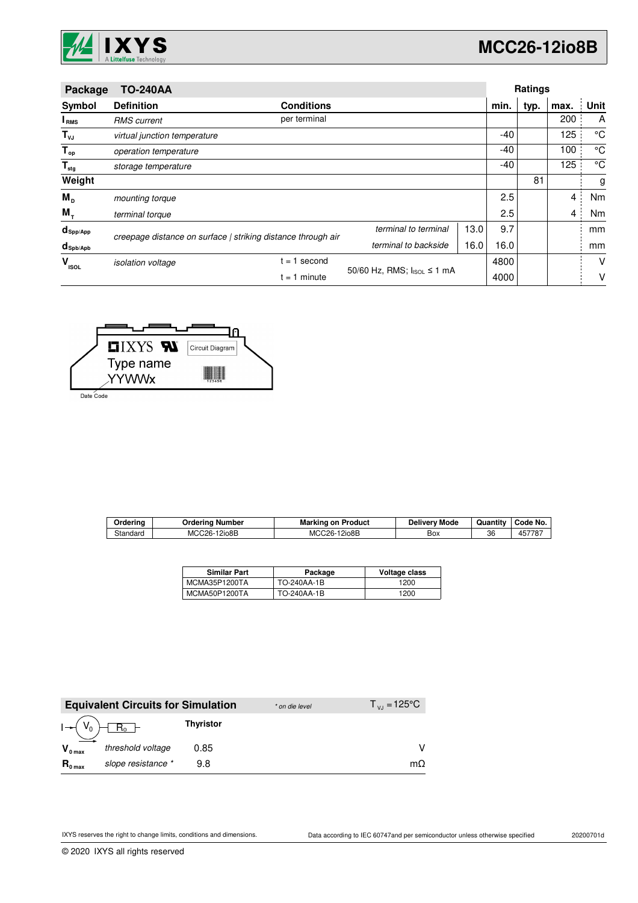

| Package                | <b>TO-240AA</b>              |                                                              |                            |      |      | Ratings |                |             |
|------------------------|------------------------------|--------------------------------------------------------------|----------------------------|------|------|---------|----------------|-------------|
| Symbol                 | <b>Definition</b>            | <b>Conditions</b>                                            |                            |      | min. | typ.    | max.           | Unit        |
| I <sub>RMS</sub>       | <b>RMS</b> current           | per terminal                                                 |                            |      |      |         | 200            | A           |
| $T_{\nu J}$            | virtual junction temperature |                                                              |                            |      | -40  |         | 125            | °C          |
| $T_{op}$               | operation temperature        |                                                              |                            |      | -40  |         | 100            | $^{\circ}C$ |
| $T_{\text{stg}}$       | storage temperature          |                                                              |                            |      | -40  |         | 125            | °C          |
| Weight                 |                              |                                                              |                            |      |      | 81      |                | g           |
| $M_{\rm p}$            | mounting torque              |                                                              |                            |      | 2.5  |         | 4              | Nm          |
| $M_{+}$                | terminal torque              |                                                              |                            |      | 2.5  |         | $\overline{4}$ | Nm          |
| $d_{\mathsf{Spp/App}}$ |                              | creepage distance on surface   striking distance through air | terminal to terminal       | 13.0 | 9.7  |         |                | mm          |
| $d_{\text{sph/Apb}}$   |                              |                                                              | terminal to backside       | 16.0 | 16.0 |         |                | mm          |
| $V_{\rm ISOL}$         | <i>isolation</i> voltage     | $= 1$<br>second                                              | 50/60 Hz, RMS; IsoL ≤ 1 mA |      | 4800 |         |                | V           |
|                        |                              | $= 1$ minute                                                 |                            |      | 4000 |         |                | ۷           |



Date Code

| Orderina | )rderina<br>Number | Marking<br>on Product    | Deliverv Mode | $\cdot$ .<br>Quantity | Code No.             |
|----------|--------------------|--------------------------|---------------|-----------------------|----------------------|
| Standard | MCC26-1<br>12io8B  | <b>MCC26-1</b><br>12io8B | ∽<br>Вох      | 36                    | 157787<br>15<br>TJ 1 |

| <b>Similar Part</b> | Package     | Voltage class |
|---------------------|-------------|---------------|
| MCMA35P1200TA       | TO-240AA-1B | 1200          |
| MCMA50P1200TA       | TO-240AA-1B | 1200          |

|                     | <b>Equivalent Circuits for Simulation</b> |                  | * on die level | $T_{\rm{VJ}} = 125^{\circ}C$ |
|---------------------|-------------------------------------------|------------------|----------------|------------------------------|
|                     | $R_0$ –                                   | <b>Thyristor</b> |                |                              |
| $V_{0 \text{ max}}$ | threshold voltage                         | 0.85             |                |                              |
| $R_{0 \text{ max}}$ | slope resistance *                        | 9.8              |                | mΩ                           |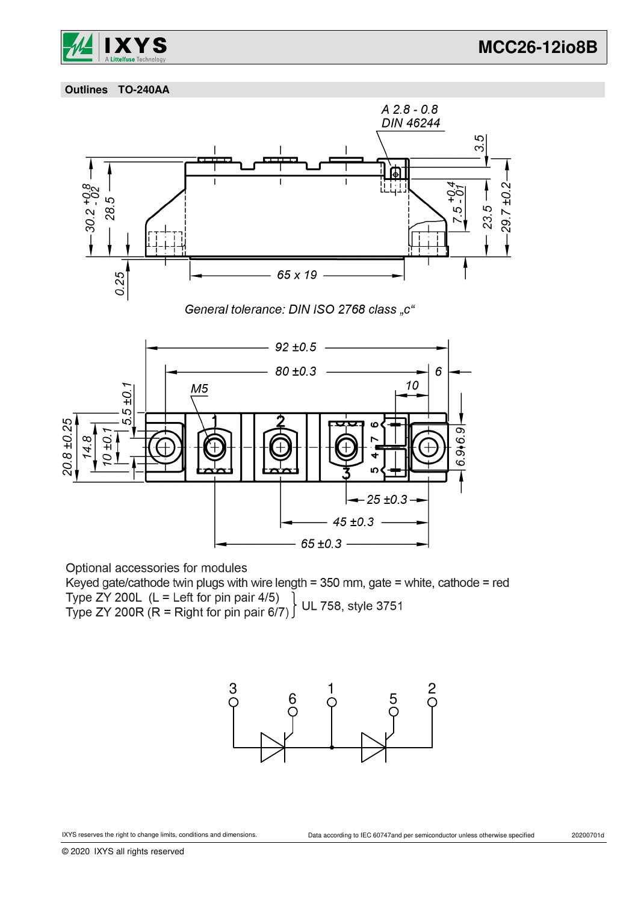

 **Outlines TO-240AA**



Optional accessories for modules

Keyed gate/cathode twin plugs with wire length = 350 mm, gate = white, cathode = red Type ZY 200L (L = Left for pin pair 4/5)<br>Type ZY 200R (R = Right for pin pair 6/7) UL 758, style 3751

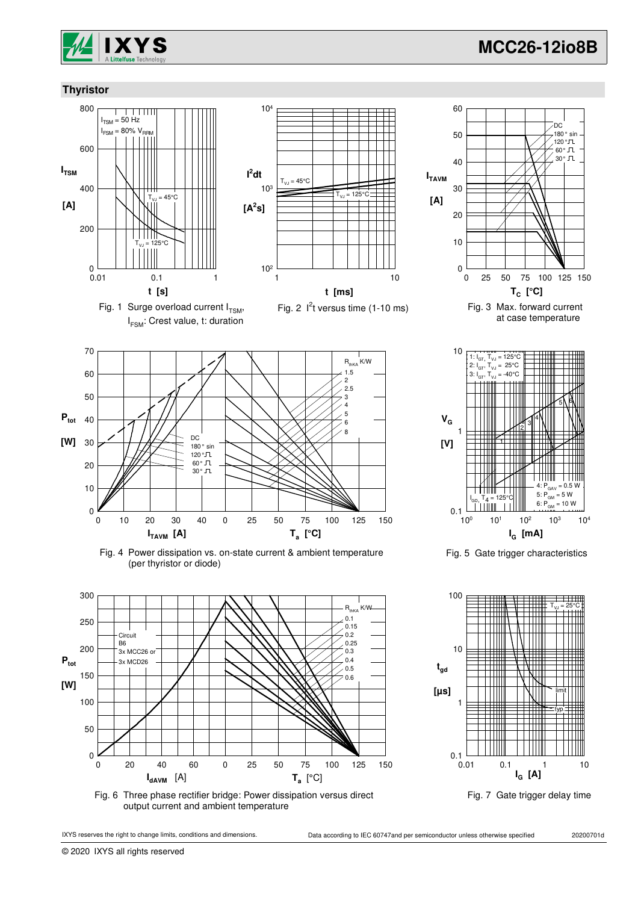

180 ° sin ייט ספו<br>⊥120 °⊥  $60^\circ \ \Pi$ 30° JL

DC

### **Thyristor**



I FSM: Crest value, t: duration







Fig. 4 Power dissipation vs. on-state current & ambient temperature (per thyristor or diode)



Fig. 6 Three phase rectifier bridge: Power dissipation versus direct output current and ambient temperature



© 2020 IXYS all rights reserved



30

**ITAVM**

**[A]**

40

50

60



Fig. 5 Gate trigger characteristics